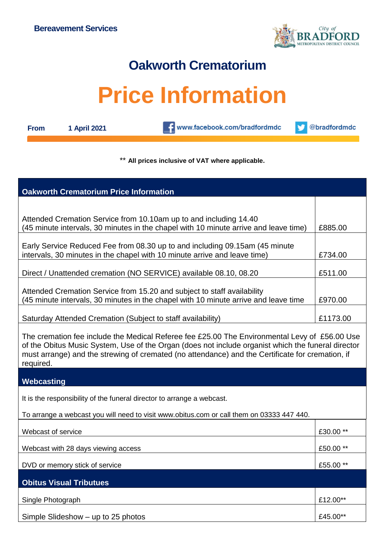

## **Oakworth Crematorium**

## **Price Information**

**From 1 April 2021**

**CONTENT** www.facebook.com/bradfordmdc

@bradfordmdc v

## \*\* **All prices inclusive of VAT where applicable.**

| <b>Oakworth Crematorium Price Information</b>                                                                                                                                                                                                                                                                        |           |  |
|----------------------------------------------------------------------------------------------------------------------------------------------------------------------------------------------------------------------------------------------------------------------------------------------------------------------|-----------|--|
|                                                                                                                                                                                                                                                                                                                      |           |  |
| Attended Cremation Service from 10.10am up to and including 14.40                                                                                                                                                                                                                                                    |           |  |
| (45 minute intervals, 30 minutes in the chapel with 10 minute arrive and leave time)                                                                                                                                                                                                                                 | £885.00   |  |
| Early Service Reduced Fee from 08.30 up to and including 09.15am (45 minute                                                                                                                                                                                                                                          |           |  |
| intervals, 30 minutes in the chapel with 10 minute arrive and leave time)                                                                                                                                                                                                                                            | £734.00   |  |
| Direct / Unattended cremation (NO SERVICE) available 08.10, 08.20                                                                                                                                                                                                                                                    | £511.00   |  |
| Attended Cremation Service from 15.20 and subject to staff availability                                                                                                                                                                                                                                              |           |  |
| (45 minute intervals, 30 minutes in the chapel with 10 minute arrive and leave time                                                                                                                                                                                                                                  | £970.00   |  |
| Saturday Attended Cremation (Subject to staff availability)                                                                                                                                                                                                                                                          | £1173.00  |  |
| The cremation fee include the Medical Referee fee £25.00 The Environmental Levy of £56.00 Use<br>of the Obitus Music System, Use of the Organ (does not include organist which the funeral director<br>must arrange) and the strewing of cremated (no attendance) and the Certificate for cremation, if<br>required. |           |  |
| Webcasting                                                                                                                                                                                                                                                                                                           |           |  |
| It is the responsibility of the funeral director to arrange a webcast.                                                                                                                                                                                                                                               |           |  |
| To arrange a webcast you will need to visit www.obitus.com or call them on 03333 447 440.                                                                                                                                                                                                                            |           |  |
| Webcast of service                                                                                                                                                                                                                                                                                                   | £30.00 ** |  |
| Webcast with 28 days viewing access                                                                                                                                                                                                                                                                                  | £50.00 ** |  |
| DVD or memory stick of service                                                                                                                                                                                                                                                                                       | £55.00 ** |  |
| <b>Obitus Visual Tributues</b>                                                                                                                                                                                                                                                                                       |           |  |
| Single Photograph                                                                                                                                                                                                                                                                                                    | £12.00**  |  |
| Simple Slideshow - up to 25 photos                                                                                                                                                                                                                                                                                   | £45.00**  |  |